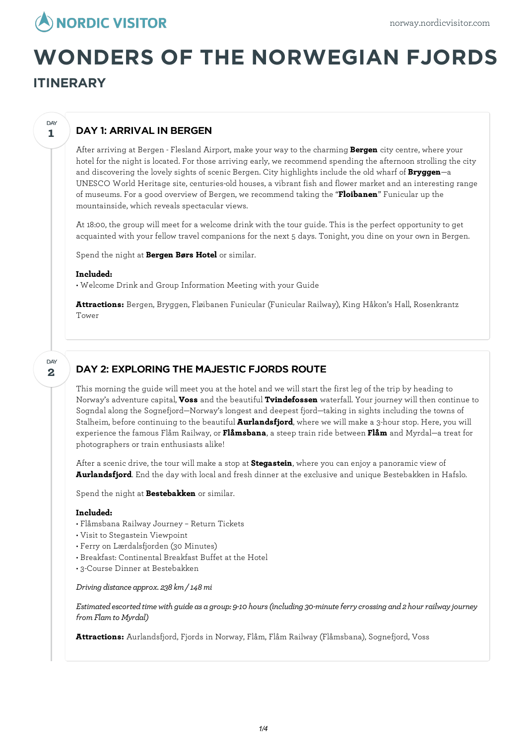

# **WONDERS OF THE NORWEGIAN FJORDS**

# **ITINERARY**

**1**

**DAY** 

# DAY 1: ARRIVAL IN BERGEN

After arriving at Bergen - Flesland Airport, make your way to the charming **Bergen** city centre, where your hotel for the night is located. For those arriving early, we recommend spending the afternoon strolling the city and discovering the lovely sights of scenic Bergen. City highlights include the old wharf of **Bryggen**—a UNESCO World Heritage site, centuries-old houses, a vibrant fish and flower market and an interesting range of museums. For a good overview of Bergen, we recommend taking the "**Floibanen**" Funicular up the mountainside, which reveals spectacular views.

At 18:00, the group will meet for a welcome drink with the tour guide. This is the perfect opportunity to get acquainted with your fellow travel companions for the next 5 days. Tonight, you dine on your own in Bergen.

Spend the night at **Bergen Børs Hotel** or similar.

#### **Included:**

• Welcome Drink and Group Information Meeting with your Guide

**Attractions:** Bergen, Bryggen, Fløibanen Funicular (Funicular Railway), King Håkon's Hall, Rosenkrantz Tower

**2** DAY

## DAY 2: EXPLORING THE MAJESTIC FJORDS ROUTE

This morning the guide will meet you at the hotel and we will start the first leg of the trip by heading to Norway's adventure capital, **Voss** and the beautiful **Tvindefossen** waterfall. Your journey will then continue to Sogndal along the Sognefjord—Norway's longest and deepest fjord—taking in sights including the towns of Stalheim, before continuing to the beautiful **Aurlandsfjord**, where we will make a 3-hour stop. Here, you will experience the famous Flåm Railway, or **Flåmsbana**, a steep train ride between **Flåm** and Myrdal—a treat for photographers or train enthusiasts alike!

After a scenic drive, the tour will make a stop at **Stegastein**, where you can enjoy a panoramic view of **Aurlandsfjord**. End the day with local and fresh dinner at the exclusive and unique Bestebakken in Hafslo.

Spend the night at **Bestebakken** or similar.

## **Included:**

- Flåmsbana Railway Journey Return Tickets
- Visit to Stegastein Viewpoint
- Ferry on Lærdalsfjorden (30 Minutes)
- Breakfast: Continental Breakfast Buffet at the Hotel
- 3-Course Dinner at Bestebakken

#### *Driving distance approx. 238 km/ 148mi*

*Estimatedescortedtimewith guide as a group: 9-10 hours(including 30-minuteferrycrossing and2 hour railwayjourney fromFlamto Myrdal)*

**Attractions:** Aurlandsfjord, Fjords in Norway, Flåm, Flåm Railway (Flåmsbana), Sognefjord, Voss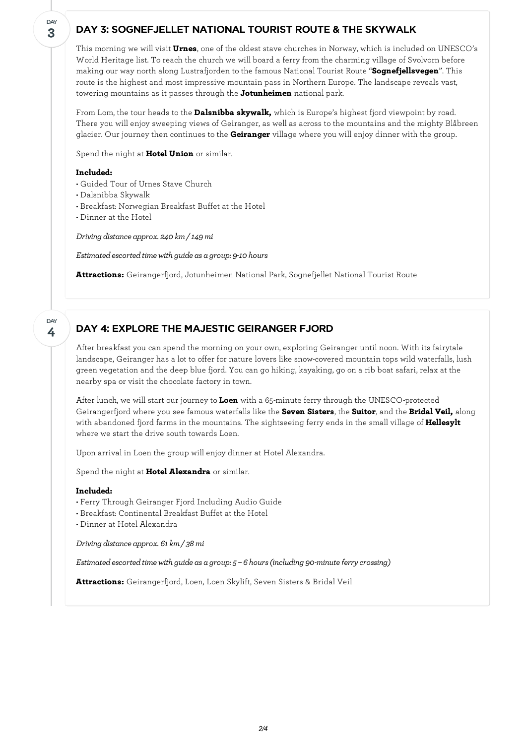## DAY 3: SOGNEFJELLET NATIONAL TOURIST ROUTE & THE SKYWALK

This morning we will visit **Urnes**, one of the oldest stave churches in Norway, which is included on UNESCO's World Heritage list. To reach the church we will board a ferry from the charming village of Svolvorn before making our way north along Lustrafjorden to the famous National Tourist Route "**Sognefjellsvegen**". This route is the highest and most impressive mountain pass in Northern Europe. The landscape reveals vast, towering mountains as it passes through the **Jotunheimen** national park.

From Lom, the tour heads to the **Dalsnibba skywalk,** which is Europe's highest fjord viewpoint by road. There you willenjoy sweeping views of Geiranger, as well as across to the mountains and the mighty Blåbreen glacier. Our journey then continues to the **Geiranger** village where you willenjoy dinner with the group.

Spend the night at **Hotel Union** or similar.

### **Included:**

- Guided Tour of Urnes Stave Church
- Dalsnibba Skywalk
- Breakfast: Norwegian Breakfast Buffet at the Hotel
- Dinner at the Hotel

*Driving distance approx. 240 km/ 149mi*

*Estimated escorted time with guide as a group: 9-10 hours* 

**Attractions:** Geirangerfjord, Jotunheimen National Park, Sognefjellet National Tourist Route

**4 DAY** 

**3**

**DAY** 

## DAY 4: EXPLORE THE MAJESTIC GEIRANGER FJORD

After breakfast you can spend the morning on your own, exploring Geiranger until noon. With its fairytale landscape, Geiranger has a lot to offer for nature lovers like snow-covered mountain tops wild waterfalls, lush green vegetation and the deep blue fjord. You can go hiking, kayaking, go on a rib boat safari, relax at the nearby spa or visit the chocolate factory in town.

After lunch, we will start our journey to **Loen** with a 65-minute ferry through the UNESCO-protected Geirangerfjord where you see famous waterfalls like the **Seven Sisters**, the **Suitor**, and the **Bridal Veil,** along with abandoned fjord farms in the mountains. The sightseeing ferry ends in the small village of **Hellesylt** where we start the drive south towards Loen.

Upon arrival in Loen the group willenjoy dinner at Hotel Alexandra.

Spend the night at **Hotel Alexandra** or similar.

## **Included:**

- Ferry Through Geiranger Fjord Including Audio Guide
- Breakfast: Continental Breakfast Buffet at the Hotel
- Dinner at Hotel Alexandra

*Driving distance approx. 61km/ 38mi*

*Estimatedescortedtimewith guide as a group: 5 – 6 hours(including 90-minuteferrycrossing)*

**Attractions:** Geirangerfjord, Loen, Loen Skylift, Seven Sisters & Bridal Veil

*2/4*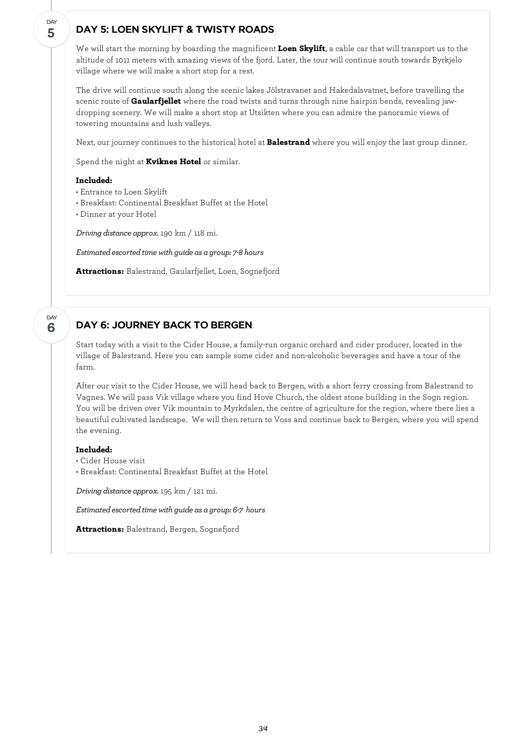## DAY 5: LOEN SKYLIFT & TWISTY ROADS

We will start the morning by boarding the magnificent **Loen Skylift**, a cable car that will transport us to the altitude of 1011 meters with amazing views of the fjord. Later, the tour will continue south towards Byrkjelo village where we will make a short stop for a rest.

The drive will continue south along the scenic lakes Jölstravanet and Hakedalsvatnet, before travelling the scenic route of **Gaularfjellet** where the road twists and turns through nine hairpin bends, revealing jawdropping scenery. We will make a short stop at Utsikten where you can admire the panoramic views of towering mountains and lush valleys.

Next, our journey continues to the historical hotel at **Balestrand** where you willenjoy the last group dinner.

Spend the night at **Kviknes Hotel** or similar.

#### **Included:**

**5**

DAY

**6**

DAY

- Entrance to Loen Skylift
- Breakfast: Continental Breakfast Buffet at the Hotel
- Dinner at your Hotel

*Driving distance approx.*190 km / 118 mi.

*Estimatedescortedtimewith guide as a group: 7-8 hours*

**Attractions:** Balestrand, Gaularfjellet, Loen, Sognefjord

## DAY 6: JOURNEY BACK TO BERGEN

Start today with a visit to the Cider House, a family-run organic orchard and cider producer, located in the village of Balestrand. Here you can sample some cider and non-alcoholic beverages and have a tour of the farm.

After our visit to the Cider House, we will head back to Bergen, with a short ferry crossing from Balestrand to Vagnes. We will pass Vik village where you find Hove Church, the oldest stone building in the Sogn region. You will be driven over Vik mountain to Myrkdalen, the centre of agriculture for the region, where there lies a beautiful cultivated landscape. We will then return to Voss and continue back to Bergen, where you will spend the evening.

### **Included:**

- Cider House visit
- Breakfast: Continental Breakfast Buffet at the Hotel

*Driving distance approx.*195 km / 121 mi.

*Estimated escorted time with guide as a group: 6-7 hours* 

**Attractions:** Balestrand, Bergen, Sognefjord